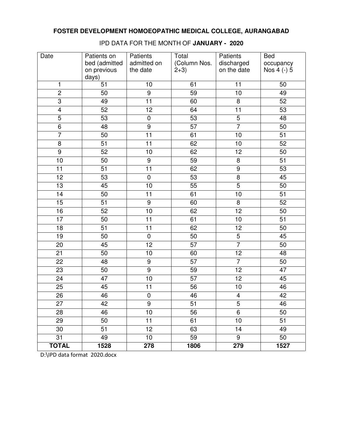| Date            | Patients on<br>bed (admitted<br>on previous<br>days) | Patients<br>admitted on<br>the date | Total<br>(Column Nos.<br>$2+3)$ | Patients<br>discharged<br>on the date | <b>Bed</b><br>occupancy<br>Nos 4 (-) 5 |
|-----------------|------------------------------------------------------|-------------------------------------|---------------------------------|---------------------------------------|----------------------------------------|
| 1               | 51                                                   | 10                                  | 61                              | 11                                    | 50                                     |
| $\overline{2}$  | 50                                                   | $\overline{9}$                      | 59                              | $\overline{10}$                       | 49                                     |
| $\overline{3}$  | 49                                                   | $\overline{11}$                     | 60                              | 8                                     | 52                                     |
| $\overline{4}$  | 52                                                   | $\overline{12}$                     | 64                              | $\overline{11}$                       | 53                                     |
| $\overline{5}$  | 53                                                   | $\pmb{0}$                           | 53                              | $\overline{5}$                        | 48                                     |
| $\overline{6}$  | 48                                                   | $\overline{9}$                      | 57                              | $\overline{7}$                        | 50                                     |
| $\overline{7}$  | 50                                                   | 11                                  | 61                              | 10                                    | 51                                     |
| $\bf 8$         | 51                                                   | 11                                  | 62                              | 10                                    | 52                                     |
| $\overline{9}$  | 52                                                   | 10                                  | 62                              | 12                                    | 50                                     |
| 10              | $\overline{50}$                                      | $\overline{9}$                      | 59                              | $\overline{8}$                        | 51                                     |
| $\overline{11}$ | $\overline{51}$                                      | $\overline{11}$                     | 62                              | $\overline{9}$                        | 53                                     |
| $\overline{12}$ | 53                                                   | $\pmb{0}$                           | 53                              | $\overline{\infty}$                   | 45                                     |
| 13              | 45                                                   | 10                                  | 55                              | $\overline{5}$                        | 50                                     |
| $\overline{14}$ | 50                                                   | 11                                  | 61                              | 10                                    | 51                                     |
| 15              | 51                                                   | $\boldsymbol{9}$                    | 60                              | 8                                     | 52                                     |
| 16              | 52                                                   | 10                                  | 62                              | $\overline{12}$                       | 50                                     |
| 17              | 50                                                   | 11                                  | 61                              | 10                                    | 51                                     |
| $\overline{18}$ | $\overline{51}$                                      | $\overline{11}$                     | 62                              | $\overline{12}$                       | $\overline{50}$                        |
| 19              | 50                                                   | $\pmb{0}$                           | 50                              | 5                                     | 45                                     |
| 20              | 45                                                   | $\overline{12}$                     | $\overline{57}$                 | $\overline{7}$                        | 50                                     |
| 21              | 50                                                   | 10                                  | 60                              | 12                                    | 48                                     |
| 22              | 48                                                   | $\overline{9}$                      | 57                              | $\overline{7}$                        | 50                                     |
| 23              | 50                                                   | $\boldsymbol{9}$                    | 59                              | 12                                    | 47                                     |
| 24              | 47                                                   | 10                                  | 57                              | 12                                    | 45                                     |
| 25              | 45                                                   | 11                                  | 56                              | 10                                    | 46                                     |
| $\overline{26}$ | 46                                                   | $\overline{0}$                      | 46                              | $\overline{4}$                        | $\overline{42}$                        |
| 27              | 42                                                   | 9                                   | 51                              | 5                                     | 46                                     |
| 28              | 46                                                   | 10                                  | 56                              | $\overline{6}$                        | 50                                     |
| 29              | 50                                                   | 11                                  | 61                              | 10                                    | 51                                     |
| 30              | 51                                                   | 12                                  | 63                              | 14                                    | 49                                     |
| 31              | 49                                                   | 10 <sup>1</sup>                     | 59                              | 9                                     | 50                                     |
| <b>TOTAL</b>    | 1528                                                 | 278                                 | 1806                            | 279                                   | 1527                                   |

IPD DATA FOR THE MONTH OF **JANUARY - 2020**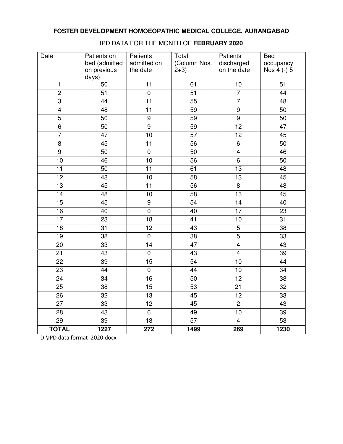| Date            | Patients on     | Patients         | Total           | Patients                | <b>Bed</b>      |
|-----------------|-----------------|------------------|-----------------|-------------------------|-----------------|
|                 | bed (admitted   | admitted on      | (Column Nos.    | discharged              | occupancy       |
|                 | on previous     | the date         | $2+3)$          | on the date             | Nos 4 (-) 5     |
|                 | days)           |                  |                 |                         |                 |
| $\mathbf{1}$    | 50              | 11               | 61              | 10                      | 51              |
| $\overline{2}$  | 51              | $\overline{0}$   | $\overline{51}$ | $\overline{7}$          | $\overline{44}$ |
| $\overline{3}$  | $\overline{44}$ | $\overline{11}$  | 55              | 7                       | $\overline{48}$ |
| $\overline{4}$  | $\overline{48}$ | $\overline{11}$  | 59              | $\overline{9}$          | 50              |
| $\overline{5}$  | 50              | $\overline{9}$   | 59              | $\overline{9}$          | 50              |
| $\overline{6}$  | 50              | $\overline{9}$   | 59              | 12                      | 47              |
| $\overline{7}$  | 47              | 10               | $\overline{57}$ | $\overline{12}$         | 45              |
| $\overline{8}$  | 45              | $\overline{11}$  | 56              | 6                       | 50              |
| $\overline{9}$  | 50              | $\overline{0}$   | $\overline{50}$ | $\overline{4}$          | 46              |
| 10              | 46              | 10               | $\overline{56}$ | $\overline{6}$          | $\overline{50}$ |
| $\overline{11}$ | $\overline{50}$ | $\overline{11}$  | 61              | $\overline{13}$         | $\overline{48}$ |
| $\overline{12}$ | 48              | 10               | 58              | $\overline{13}$         | 45              |
| $\overline{13}$ | 45              | 11               | $\overline{56}$ | $\overline{8}$          | 48              |
| 14              | 48              | 10               | $\overline{58}$ | $\overline{13}$         | 45              |
| 15              | 45              | $\boldsymbol{9}$ | $\overline{54}$ | 14                      | 40              |
| 16              | 40              | $\mathbf 0$      | 40              | $\overline{17}$         | 23              |
| $\overline{17}$ | 23              | $\overline{18}$  | $\overline{41}$ | $\overline{10}$         | $\overline{31}$ |
| $\overline{18}$ | $\overline{31}$ | $\overline{12}$  | 43              | $\overline{5}$          | $\overline{38}$ |
| 19              | $\overline{38}$ | $\overline{0}$   | $\overline{38}$ | $\overline{5}$          | 33              |
| 20              | $\overline{33}$ | 14               | $\overline{47}$ | $\overline{4}$          | 43              |
| 21              | 43              | $\pmb{0}$        | 43              | $\overline{\mathbf{4}}$ | 39              |
| 22              | 39              | $\overline{15}$  | $\overline{54}$ | 10                      | 44              |
| $\overline{23}$ | $\overline{44}$ | $\overline{0}$   | $\overline{44}$ | 10                      | $\overline{34}$ |
| $\overline{24}$ | $\overline{34}$ | 16               | $\overline{50}$ | $\overline{12}$         | $\overline{38}$ |
| 25              | 38              | 15               | 53              | 21                      | 32              |
| $\overline{26}$ | 32              | $\overline{13}$  | $\overline{45}$ | $\overline{12}$         | $\overline{33}$ |
| $\overline{27}$ | 33              | $\overline{12}$  | 45              | $\overline{2}$          | 43              |
| $\overline{28}$ | $\overline{43}$ | $\overline{6}$   | 49              | $\overline{10}$         | 39              |
| 29              | 39              | 18               | 57              | 4                       | 53              |
| <b>TOTAL</b>    | 1227            | 272              | 1499            | 269                     | 1230            |

#### IPD DATA FOR THE MONTH OF **FEBRUARY 2020**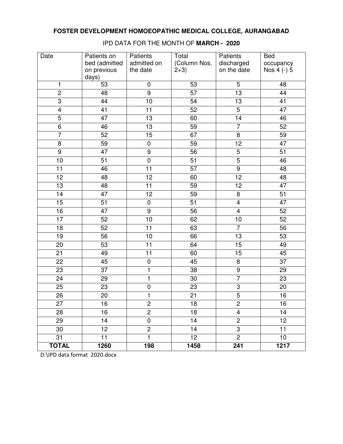| Date            | Patients on<br>bed (admitted | Patients<br>admitted on | Total<br>(Column Nos. | Patients<br>discharged  | <b>Bed</b><br>occupancy |
|-----------------|------------------------------|-------------------------|-----------------------|-------------------------|-------------------------|
|                 | on previous<br>days)         | the date                | $2+3)$                | on the date             | Nos 4 (-) 5             |
| 1               | 53                           | $\pmb{0}$               | 53                    | 5                       | 48                      |
| $\overline{2}$  | 48                           | $\overline{9}$          | $\overline{57}$       | $\overline{13}$         | $\overline{44}$         |
| $\overline{3}$  | 44                           | 10                      | $\overline{54}$       | 13                      | 41                      |
| $\overline{4}$  | 41                           | $\overline{11}$         | 52                    | $\overline{5}$          | 47                      |
| $\overline{5}$  | 47                           | 13                      | 60                    | 14                      | 46                      |
| 6               | 46                           | 13                      | 59                    | $\overline{7}$          | 52                      |
| $\overline{7}$  | 52                           | 15                      | 67                    | 8                       | 59                      |
| 8               | 59                           | $\pmb{0}$               | 59                    | 12                      | 47                      |
| $\overline{9}$  | 47                           | $\overline{9}$          | 56                    | $\overline{5}$          | 51                      |
| 10              | $\overline{51}$              | $\overline{0}$          | $\overline{51}$       | $\overline{5}$          | 46                      |
| $\overline{11}$ | 46                           | 11                      | 57                    | $\overline{9}$          | 48                      |
| $\overline{12}$ | 48                           | 12                      | 60                    | $\overline{12}$         | 48                      |
| 13              | 48                           | 11                      | 59                    | 12                      | 47                      |
| 14              | 47                           | 12                      | 59                    | $\overline{\infty}$     | 51                      |
| 15              | 51                           | $\pmb{0}$               | 51                    | $\overline{\mathbf{4}}$ | 47                      |
| 16              | 47                           | $\overline{9}$          | 56                    | $\overline{4}$          | 52                      |
| $\overline{17}$ | 52                           | 10                      | 62                    | 10                      | 52                      |
| $\overline{18}$ | 52                           | $\overline{11}$         | 63                    | $\overline{7}$          | $\overline{56}$         |
| $\overline{19}$ | 56                           | 10                      | 66                    | 13                      | $\overline{53}$         |
| 20              | 53                           | 11                      | 64                    | 15                      | 49                      |
| 21              | 49                           | 11                      | 60                    | 15                      | 45                      |
| 22              | 45                           | $\pmb{0}$               | 45                    | 8                       | 37                      |
| 23              | 37                           | 1                       | 38                    | $\boldsymbol{9}$        | 29                      |
| 24              | 29                           | $\mathbf{1}$            | 30                    | $\overline{7}$          | 23                      |
| 25              | 23                           | $\pmb{0}$               | 23                    | $\overline{3}$          | 20                      |
| $\overline{26}$ | $\overline{20}$              | 1                       | $\overline{21}$       | $\overline{5}$          | 16                      |
| 27              | 16                           | 2                       | 18                    | $\overline{c}$          | 16                      |
| 28              | 16                           | $\overline{2}$          | 18                    | $\overline{\mathbf{4}}$ | 14                      |
| 29              | 14                           | $\pmb{0}$               | 14                    | $\overline{c}$          | 12 <sub>2</sub>         |
| 30              | 12 <sub>2</sub>              | $\overline{2}$          | 14                    | 3                       | 11                      |
| 31              | 11                           | $\mathbf{1}$            | 12 <sub>2</sub>       | $\overline{2}$          | 10                      |
| <b>TOTAL</b>    | 1260                         | 198                     | 1458                  | 241                     | 1217                    |

IPD DATA FOR THE MONTH OF **MARCH - 2020**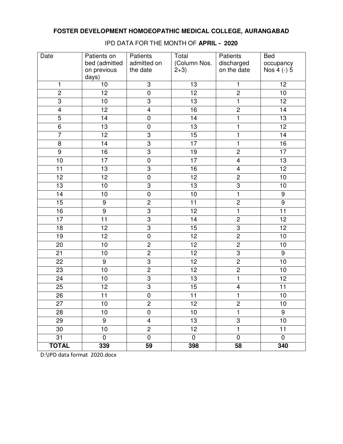| Date            | Patients on<br>bed (admitted | Patients<br>admitted on | Total<br>(Column Nos. | Patients<br>discharged  | <b>Bed</b><br>occupancy |
|-----------------|------------------------------|-------------------------|-----------------------|-------------------------|-------------------------|
|                 | on previous<br>days)         | the date                | $2+3)$                | on the date             | Nos 4 (-) 5             |
| 1               | 10                           | 3                       | 13                    | $\mathbf{1}$            | 12                      |
| $\overline{2}$  | $\overline{12}$              | $\overline{0}$          | 12                    | $\overline{2}$          | $\overline{10}$         |
| $\overline{3}$  | $\overline{10}$              | $\overline{3}$          | $\overline{13}$       | $\overline{1}$          | $\overline{12}$         |
| $\overline{4}$  | $\overline{12}$              | $\overline{4}$          | 16                    | $\overline{2}$          | $\overline{14}$         |
| $\overline{5}$  | 14                           | $\pmb{0}$               | 14                    | $\overline{1}$          | 13                      |
| $\overline{6}$  | 13                           | $\pmb{0}$               | $\overline{13}$       | $\overline{\mathbf{1}}$ | $\overline{12}$         |
| $\overline{7}$  | 12                           | $\overline{3}$          | 15                    | $\overline{1}$          | 14                      |
| 8               | 14                           | $\overline{3}$          | $\overline{17}$       | $\overline{1}$          | 16                      |
| $\overline{9}$  | 16                           | $\overline{3}$          | 19                    | $\overline{2}$          | $\overline{17}$         |
| 10              | $\overline{17}$              | $\pmb{0}$               | $\overline{17}$       | $\overline{4}$          | $\overline{13}$         |
| 11              | 13                           | $\overline{3}$          | 16                    | 4                       | $\overline{12}$         |
| 12              | 12                           | $\pmb{0}$               | 12                    | $\overline{2}$          | 10                      |
| 13              | 10                           | $\overline{3}$          | $\overline{13}$       | $\overline{3}$          | 10                      |
| 14              | 10                           | $\pmb{0}$               | 10                    | $\overline{1}$          | 9                       |
| 15              | 9                            | $\overline{c}$          | 11                    | $\overline{2}$          | 9                       |
| 16              | $\boldsymbol{9}$             | $\overline{3}$          | 12                    | $\overline{1}$          | 11                      |
| 17              | 11                           | $\overline{3}$          | 14                    | $\overline{2}$          | 12                      |
| $\overline{18}$ | $\overline{12}$              | $\overline{3}$          | 15                    | $\overline{3}$          | $\overline{12}$         |
| 19              | $\overline{12}$              | $\overline{0}$          | $\overline{12}$       | $\overline{2}$          | $\overline{10}$         |
| 20              | 10                           | $\overline{2}$          | $\overline{12}$       | $\overline{2}$          | 10                      |
| 21              | 10                           | $\overline{2}$          | $\overline{12}$       | $\overline{3}$          | 9                       |
| 22              | 9                            | $\overline{3}$          | 12                    | $\overline{2}$          | 10                      |
| 23              | 10                           | $\overline{2}$          | $\overline{12}$       | $\overline{2}$          | 10                      |
| 24              | 10                           | $\overline{3}$          | $\overline{13}$       | ī                       | 12                      |
| 25              | 12                           | $\overline{3}$          | 15                    | $\overline{4}$          | 11                      |
| $\overline{26}$ | $\overline{11}$              | $\overline{0}$          | $\overline{11}$       | 1                       | 10                      |
| 27              | 10                           | $\overline{c}$          | 12                    | $\overline{\mathbf{c}}$ | 10                      |
| 28              | 10                           | 0                       | 10                    | 1                       | 9                       |
| 29              | 9                            | $\overline{4}$          | $\overline{13}$       | 3                       | 10                      |
| 30              | 10                           | $\overline{2}$          | 12                    | 1                       | 11                      |
| 31              | $\mathbf 0$                  | $\mathbf 0$             | $\mathbf 0$           | $\mathbf 0$             | $\mathbf 0$             |
| <b>TOTAL</b>    | 339                          | 59                      | 398                   | 58                      | 340                     |

IPD DATA FOR THE MONTH OF **APRIL - 2020**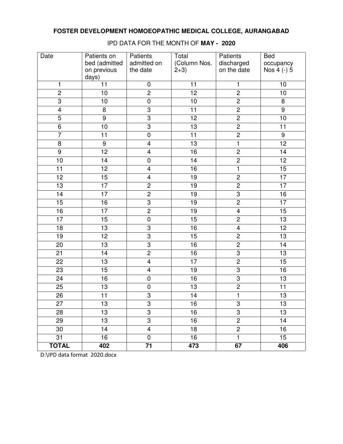| Date            | Patients on<br>bed (admitted | Patients<br>admitted on | Total<br>(Column Nos. | Patients<br>discharged  | <b>Bed</b><br>occupancy |
|-----------------|------------------------------|-------------------------|-----------------------|-------------------------|-------------------------|
|                 | on previous<br>days)         | the date                | $2+3)$                | on the date             | Nos 4 (-) 5             |
| 1               | 11                           | $\pmb{0}$               | 11                    | $\mathbf{1}$            | 10                      |
| $\overline{2}$  | $\overline{10}$              | $\overline{2}$          | 12                    | $\overline{2}$          | $\overline{10}$         |
| $\overline{3}$  | 10                           | $\overline{0}$          | 10                    | $\overline{2}$          | 8                       |
| $\overline{4}$  | 8                            | $\overline{3}$          | $\overline{11}$       | $\overline{2}$          | $\overline{9}$          |
| $\overline{5}$  | 9                            | $\overline{3}$          | 12                    | $\overline{2}$          | 10                      |
| $\overline{6}$  | 10                           | $\overline{3}$          | $\overline{13}$       | $\overline{2}$          | 11                      |
| $\overline{7}$  | 11                           | $\pmb{0}$               | 11                    | $\overline{2}$          | 9                       |
| 8               | $\boldsymbol{9}$             | $\overline{\mathbf{4}}$ | 13                    | $\overline{\mathbf{1}}$ | $\overline{12}$         |
| $\overline{9}$  | $\overline{12}$              | $\overline{\mathbf{4}}$ | 16                    | $\overline{2}$          | 14                      |
| 10              | $\overline{14}$              | $\pmb{0}$               | $\overline{14}$       | $\overline{2}$          | $\overline{12}$         |
| 11              | 12                           | $\overline{\mathbf{4}}$ | 16                    | $\overline{1}$          | $\overline{15}$         |
| 12              | 15                           | $\overline{4}$          | 19                    | $\overline{2}$          | 17                      |
| 13              | 17                           | $\overline{2}$          | 19                    | $\overline{2}$          | 17                      |
| 14              | 17                           | $\overline{2}$          | 19                    | $\overline{3}$          | 16                      |
| 15              | 16                           | $\overline{3}$          | 19                    | $\overline{2}$          | 17                      |
| 16              | 17                           | $\overline{2}$          | 19                    | $\overline{4}$          | 15                      |
| 17              | 15                           | $\pmb{0}$               | 15                    | $\overline{2}$          | 13                      |
| $\overline{18}$ | $\overline{13}$              | $\overline{3}$          | 16                    | $\overline{4}$          | $\overline{12}$         |
| 19              | $\overline{12}$              | $\overline{3}$          | 15                    | $\overline{2}$          | $\overline{13}$         |
| 20              | 13                           | $\overline{3}$          | 16                    | $\overline{2}$          | 14                      |
| 21              | 14                           | $\overline{2}$          | 16                    | $\overline{3}$          | 13                      |
| 22              | 13                           | $\overline{4}$          | $\overline{17}$       | $\overline{2}$          | 15                      |
| 23              | 15                           | $\overline{4}$          | 19                    | 3                       | 16                      |
| 24              | 16                           | $\pmb{0}$               | $\overline{16}$       | $\overline{3}$          | 13                      |
| 25              | 13                           | $\pmb{0}$               | $\overline{13}$       | $\overline{2}$          | 11                      |
| $\overline{26}$ | $\overline{11}$              | $\overline{3}$          | $\overline{14}$       | $\overline{\mathbf{1}}$ | $\overline{13}$         |
| 27              | 13                           | 3                       | 16                    | 3                       | 13                      |
| 28              | 13                           | 3                       | 16                    | 3                       | 13                      |
| 29              | 13                           | 3                       | $\overline{16}$       | $\overline{c}$          | 14                      |
| 30              | 14                           | $\overline{4}$          | 18                    | $\overline{2}$          | 16                      |
| 31              | 16                           | $\mathbf 0$             | 16                    | $\overline{1}$          | 15                      |
| <b>TOTAL</b>    | 402                          | 71                      | 473                   | 67                      | 406                     |

IPD DATA FOR THE MONTH OF **MAY - 2020**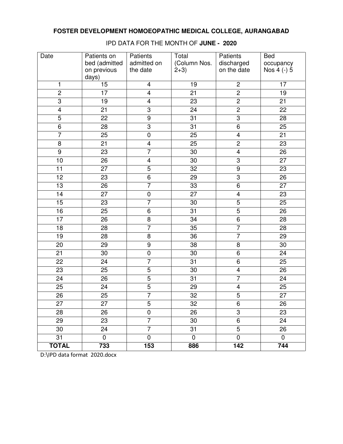| Date            | Patients on<br>bed (admitted | Patients<br>admitted on | Total<br>(Column Nos. | Patients<br>discharged<br>on the date | <b>Bed</b><br>occupancy<br>Nos 4 (-) 5 |
|-----------------|------------------------------|-------------------------|-----------------------|---------------------------------------|----------------------------------------|
|                 | on previous<br>days)         | the date                | $2+3)$                |                                       |                                        |
| 1               | 15                           | $\overline{\mathbf{4}}$ | 19                    | $\overline{c}$                        | 17                                     |
| $\overline{2}$  | $\overline{17}$              | $\overline{4}$          | $\overline{21}$       | $\overline{2}$                        | $\overline{19}$                        |
| $\overline{3}$  | 19                           | $\overline{\mathbf{4}}$ | 23                    | $\overline{2}$                        | 21                                     |
| $\overline{4}$  | 21                           | $\overline{3}$          | 24                    | $\overline{2}$                        | 22                                     |
| $\overline{5}$  | 22                           | $\boldsymbol{9}$        | 31                    | $\overline{3}$                        | 28                                     |
| 6               | 28                           | $\overline{3}$          | 31                    | 6                                     | 25                                     |
| $\overline{7}$  | 25                           | $\pmb{0}$               | 25                    | $\overline{\mathbf{4}}$               | 21                                     |
| 8               | 21                           | $\overline{\mathbf{4}}$ | 25                    | $\overline{2}$                        | 23                                     |
| $\overline{9}$  | 23                           | $\overline{7}$          | 30                    | $\overline{4}$                        | 26                                     |
| 10              | $\overline{26}$              | $\overline{\mathbf{4}}$ | $\overline{30}$       | $\overline{3}$                        | $\overline{27}$                        |
| $\overline{11}$ | $\overline{27}$              | $\overline{5}$          | $\overline{32}$       | $\overline{9}$                        | $\overline{23}$                        |
| $\overline{12}$ | 23                           | $\overline{6}$          | 29                    | $\overline{3}$                        | 26                                     |
| 13              | 26                           | $\overline{7}$          | 33                    | $\overline{6}$                        | $\overline{27}$                        |
| 14              | 27                           | $\pmb{0}$               | $\overline{27}$       | $\overline{4}$                        | 23                                     |
| 15              | 23                           | $\overline{7}$          | 30                    | $\overline{5}$                        | 25                                     |
| 16              | 25                           | 6                       | $\overline{31}$       | $\overline{5}$                        | 26                                     |
| $\overline{17}$ | 26                           | 8                       | 34                    | $\overline{6}$                        | 28                                     |
| $\overline{18}$ | 28                           | $\overline{7}$          | 35                    | 7                                     | 28                                     |
| $\overline{19}$ | 28                           | 8                       | 36                    | 7                                     | $\overline{29}$                        |
| 20              | 29                           | $\boldsymbol{9}$        | 38                    | 8                                     | 30                                     |
| 21              | 30                           | $\pmb{0}$               | 30                    | 6                                     | 24                                     |
| 22              | 24                           | $\overline{7}$          | 31                    | $\overline{6}$                        | 25                                     |
| 23              | 25                           | 5                       | 30                    | $\overline{\mathbf{4}}$               | 26                                     |
| 24              | 26                           | $\overline{5}$          | 31                    | $\overline{7}$                        | 24                                     |
| 25              | $\overline{24}$              | $\overline{5}$          | 29                    | $\overline{\mathbf{4}}$               | 25                                     |
| $\overline{26}$ | $\overline{25}$              | $\overline{7}$          | $\overline{32}$       | $\overline{5}$                        | $\overline{27}$                        |
| 27              | 27                           | 5                       | 32                    | 6                                     | 26                                     |
| 28              | 26                           | 0                       | 26                    | 3                                     | 23                                     |
| 29              | 23                           | $\overline{7}$          | 30                    | 6                                     | 24                                     |
| 30              | 24                           | $\overline{7}$          | 31                    | $\overline{5}$                        | 26                                     |
| 31              | 0                            | $\mathbf 0$             | $\mathbf 0$           | $\mathbf 0$                           | $\mathbf 0$                            |
| <b>TOTAL</b>    | 733                          | 153                     | 886                   | 142                                   | 744                                    |

IPD DATA FOR THE MONTH OF **JUNE - 2020**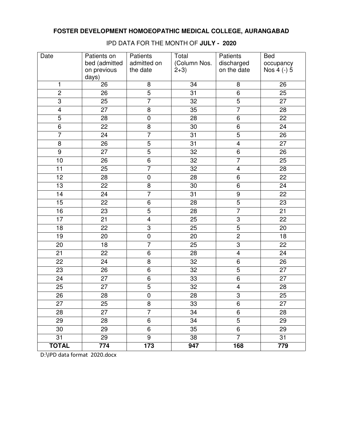| Date            | Patients on     | Patients                | Total           | Patients                | <b>Bed</b>      |
|-----------------|-----------------|-------------------------|-----------------|-------------------------|-----------------|
|                 | bed (admitted   | admitted on             | (Column Nos.    | discharged              | occupancy       |
|                 | on previous     | the date                | $2+3)$          | on the date             | Nos 4 (-) 5     |
|                 | days)           |                         |                 |                         |                 |
| 1               | 26              | 8                       | 34              | 8                       | 26              |
| $\overline{2}$  | 26              | $\overline{5}$          | $\overline{31}$ | $\overline{6}$          | 25              |
| $\overline{3}$  | 25              | $\overline{7}$          | $\overline{32}$ | 5                       | 27              |
| $\overline{4}$  | 27              | $\overline{8}$          | $\overline{35}$ | 7                       | 28              |
| $\overline{5}$  | 28              | $\pmb{0}$               | 28              | 6                       | 22              |
| 6               | 22              | 8                       | 30              | 6                       | 24              |
| $\overline{7}$  | 24              | $\overline{7}$          | 31              | $\overline{5}$          | 26              |
| 8               | 26              | $\overline{5}$          | 31              | $\overline{\mathbf{4}}$ | 27              |
| $\overline{9}$  | 27              | $\overline{5}$          | 32              | 6                       | 26              |
| 10              | $\overline{26}$ | $\overline{6}$          | $\overline{32}$ | $\overline{7}$          | $\overline{25}$ |
| $\overline{11}$ | $\overline{25}$ | $\overline{7}$          | $\overline{32}$ | $\overline{\mathbf{4}}$ | 28              |
| $\overline{12}$ | 28              | $\pmb{0}$               | 28              | 6                       | 22              |
| 13              | 22              | 8                       | 30              | 6                       | 24              |
| 14              | 24              | $\overline{7}$          | 31              | $\overline{9}$          | 22              |
| 15              | 22              | 6                       | 28              | $\overline{5}$          | 23              |
| 16              | 23              | $\overline{5}$          | 28              | $\overline{7}$          | 21              |
| $\overline{17}$ | 21              | $\overline{\mathbf{4}}$ | 25              | $\overline{3}$          | 22              |
| $\overline{18}$ | 22              | $\overline{3}$          | $\overline{25}$ | $\overline{5}$          | $\overline{20}$ |
| $\overline{19}$ | 20              | $\pmb{0}$               | 20              | $\overline{2}$          | 18              |
| 20              | 18              | $\overline{7}$          | 25              | $\overline{3}$          | 22              |
| 21              | 22              | 6                       | 28              | $\overline{\mathbf{4}}$ | 24              |
| 22              | 24              | 8                       | 32              | $\overline{6}$          | 26              |
| 23              | 26              | 6                       | 32              | 5                       | 27              |
| 24              | 27              | 6                       | 33              | 6                       | 27              |
| 25              | 27              | 5                       | 32              | $\overline{\mathbf{4}}$ | 28              |
| $\overline{26}$ | $\overline{28}$ | $\overline{0}$          | $\overline{28}$ | $\overline{3}$          | $\overline{25}$ |
| 27              | 25              | 8                       | 33              | 6                       | 27              |
| 28              | 27              | $\overline{7}$          | 34              | 6                       | 28              |
| 29              | 28              | 6                       | 34              | 5                       | 29              |
| 30              | 29              | 6                       | 35              | 6                       | 29              |
| 31              | 29              | 9                       | 38              | $\overline{7}$          | 31              |
| <b>TOTAL</b>    | 774             | 173                     | 947             | 168                     | 779             |

IPD DATA FOR THE MONTH OF **JULY - 2020**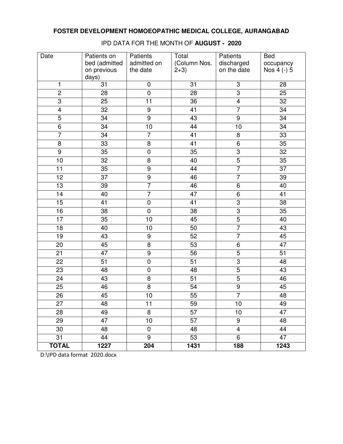| Date            | Patients on<br>bed (admitted<br>on previous | Patients<br>admitted on<br>the date | Total<br>(Column Nos.<br>$2+3)$ | Patients<br>discharged<br>on the date | <b>Bed</b><br>occupancy<br>Nos 4 (-) 5 |
|-----------------|---------------------------------------------|-------------------------------------|---------------------------------|---------------------------------------|----------------------------------------|
| 1               | days)<br>31                                 | $\pmb{0}$                           | 31                              | 3                                     | 28                                     |
| $\overline{2}$  | 28                                          | $\overline{0}$                      | $\overline{28}$                 | $\overline{3}$                        | $\overline{25}$                        |
| $\overline{3}$  | $\overline{25}$                             | 11                                  | $\overline{36}$                 | $\overline{4}$                        | $\overline{32}$                        |
| $\overline{4}$  | 32                                          | $\overline{9}$                      | $\overline{41}$                 | $\overline{7}$                        | $\overline{34}$                        |
| $\overline{5}$  | 34                                          | $\overline{9}$                      | 43                              | $\overline{9}$                        | 34                                     |
| $\,6$           | 34                                          | 10                                  | 44                              | 10                                    | 34                                     |
| $\overline{7}$  | 34                                          | $\overline{7}$                      | 41                              | 8                                     | 33                                     |
| $\,8\,$         | 33                                          | 8                                   | 41                              | 6                                     | $\overline{35}$                        |
| $\overline{9}$  | 35                                          | $\mathsf 0$                         | 35                              | $\overline{3}$                        | 32                                     |
|                 | $\overline{32}$                             | $\overline{8}$                      |                                 | $\overline{5}$                        | $\overline{35}$                        |
| 10              |                                             |                                     | 40                              | $\overline{7}$                        |                                        |
| 11              | 35                                          | $\boldsymbol{9}$                    | 44                              |                                       | 37                                     |
| 12              | 37                                          | $\overline{9}$                      | 46                              | $\overline{7}$                        | 39                                     |
| 13              | 39                                          | $\overline{7}$                      | 46                              | 6                                     | 40                                     |
| $\overline{14}$ | 40                                          | $\overline{7}$                      | 47                              | $\overline{6}$                        | 41                                     |
| 15              | 41                                          | $\pmb{0}$                           | 41                              | 3                                     | 38                                     |
| 16              | 38                                          | $\pmb{0}$                           | 38                              | $\overline{3}$                        | 35                                     |
| 17              | 35                                          | 10                                  | 45                              | $\overline{5}$                        | 40                                     |
| $\overline{18}$ | 40                                          | 10                                  | $\overline{50}$                 | $\overline{7}$                        | 43                                     |
| $\overline{19}$ | 43                                          | $\overline{9}$                      | 52                              | $\overline{7}$                        | 45                                     |
| 20              | 45                                          | $\overline{\infty}$                 | 53                              | $\overline{6}$                        | 47                                     |
| 21              | 47                                          | $\overline{9}$                      | 56                              | $\overline{5}$                        | 51                                     |
| 22              | 51                                          | $\mathbf 0$                         | 51                              | $\overline{3}$                        | 48                                     |
| 23              | 48                                          | $\pmb{0}$                           | 48                              | $\overline{5}$                        | 43                                     |
| 24              | 43                                          | $\overline{8}$                      | $\overline{51}$                 | $\overline{5}$                        | 46                                     |
| 25              | 46                                          | $\overline{8}$                      | 54                              | $\overline{9}$                        | 45                                     |
| $\overline{26}$ | 45                                          | 10                                  | 55                              | $\overline{7}$                        | 48                                     |
| 27              | 48                                          | 11                                  | 59                              | 10                                    | 49                                     |
| 28              | 49                                          | 8                                   | 57                              | 10                                    | 47                                     |
| 29              | 47                                          | 10                                  | 57                              | 9                                     | 48                                     |
| 30              | 48                                          | $\pmb{0}$                           | 48                              | $\overline{\mathbf{4}}$               | 44                                     |
| 31              | 44                                          | 9                                   | 53                              | 6                                     | 47                                     |
| <b>TOTAL</b>    | 1227                                        | 204                                 | 1431                            | 188                                   | 1243                                   |

IPD DATA FOR THE MONTH OF **AUGUST - 2020**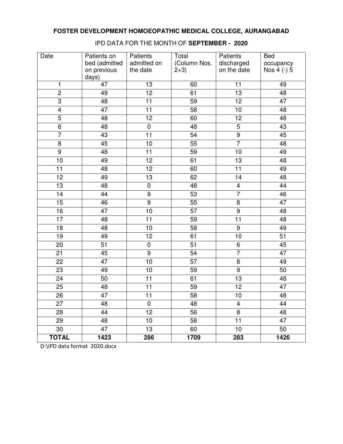| Date            | Patients on                  | Patients                | Total                  | Patients                  | <b>Bed</b>               |
|-----------------|------------------------------|-------------------------|------------------------|---------------------------|--------------------------|
|                 | bed (admitted<br>on previous | admitted on<br>the date | (Column Nos.<br>$2+3)$ | discharged<br>on the date | occupancy<br>Nos 4 (-) 5 |
|                 | days)                        |                         |                        |                           |                          |
| 1               | 47                           | 13                      | 60                     | 11                        | 49                       |
| $\overline{2}$  | 49                           | $\overline{12}$         | 61                     | $\overline{13}$           | 48                       |
| $\overline{3}$  | 48                           | 11                      | 59                     | $\overline{12}$           | 47                       |
| $\overline{4}$  | 47                           | $\overline{11}$         | $\overline{58}$        | 10                        | 48                       |
| $\overline{5}$  | 48                           | 12                      | 60                     | 12                        | 48                       |
| $\,6\,$         | 48                           | $\pmb{0}$               | 48                     | $\overline{5}$            | 43                       |
| $\overline{7}$  | 43                           | 11                      | 54                     | $\overline{9}$            | 45                       |
| $\,8\,$         | 45                           | 10                      | 55                     | $\overline{7}$            | 48                       |
| $\overline{9}$  | 48                           | 11                      | 59                     | 10                        | 49                       |
| 10              | 49                           | $\overline{12}$         | 61                     | 13                        | 48                       |
| 11              | 48                           | 12                      | 60                     | $\overline{11}$           | 49                       |
| 12              | 49                           | 13                      | 62                     | 14                        | 48                       |
| 13              | 48                           | $\pmb{0}$               | 48                     | $\overline{\mathbf{4}}$   | 44                       |
| $\overline{14}$ | 44                           | $\overline{9}$          | 53                     | $\overline{7}$            | 46                       |
| 15              | 46                           | $\boldsymbol{9}$        | 55                     | 8                         | 47                       |
| 16              | 47                           | 10                      | 57                     | $\overline{9}$            | 48                       |
| 17              | 48                           | 11                      | 59                     | 11                        | 48                       |
| $\overline{18}$ | 48                           | 10                      | $\overline{58}$        | $\overline{9}$            | 49                       |
| $\overline{19}$ | 49                           | $\overline{12}$         | 61                     | 10                        | $\overline{51}$          |
| 20              | 51                           | $\pmb{0}$               | $\overline{51}$        | 6                         | 45                       |
| 21              | 45                           | $\overline{9}$          | 54                     | $\overline{7}$            | 47                       |
| 22              | 47                           | 10                      | $\overline{57}$        | $\overline{8}$            | 49                       |
| 23              | 49                           | 10                      | 59                     | $\overline{9}$            | 50                       |
| 24              | 50                           | 11                      | 61                     | 13                        | 48                       |
| 25              | 48                           | 11                      | 59                     | 12                        | 47                       |
| $\overline{26}$ | $\overline{47}$              | $\overline{11}$         | $\overline{58}$        | 10                        | 48                       |
| 27              | 48                           | $\pmb{0}$               | 48                     | $\overline{\mathbf{4}}$   | 44                       |
| 28              | 44                           | 12                      | 56                     | 8                         | 48                       |
| 29              | 48                           | 10                      | 58                     | 11                        | 47                       |
| 30              | 47                           | 13                      | 60                     | 10                        | 50                       |
| <b>TOTAL</b>    | 1423                         | 286                     | 1709                   | 283                       | 1426                     |

IPD DATA FOR THE MONTH OF **SEPTEMBER - 2020**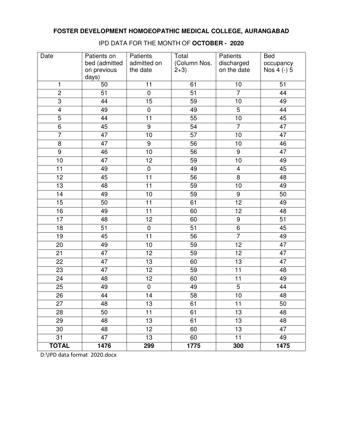| Date            | Patients on<br>bed (admitted<br>on previous | Patients<br>admitted on<br>the date | Total<br>(Column Nos.<br>$2+3)$ | Patients<br>discharged<br>on the date | <b>Bed</b><br>occupancy<br>Nos 4 (-) 5 |
|-----------------|---------------------------------------------|-------------------------------------|---------------------------------|---------------------------------------|----------------------------------------|
|                 | days)                                       |                                     |                                 |                                       |                                        |
| 1               | 50                                          | 11                                  | 61                              | 10                                    | 51                                     |
| $\overline{2}$  | $\overline{51}$                             | $\overline{0}$                      | $\overline{51}$                 | $\overline{7}$                        | 44                                     |
| $\overline{3}$  | 44                                          | $\overline{15}$                     | $\overline{59}$                 | 10                                    | 49                                     |
| $\overline{4}$  | 49                                          | $\overline{0}$                      | 49                              | $\overline{5}$                        | 44                                     |
| $\overline{5}$  | 44                                          | 11                                  | 55                              | 10                                    | 45                                     |
| $\overline{6}$  | 45                                          | $\overline{9}$                      | 54                              | $\overline{7}$                        | 47                                     |
| $\overline{7}$  | 47                                          | 10                                  | 57                              | 10                                    | 47                                     |
| 8               | 47                                          | $\overline{9}$                      | 56                              | $10$                                  | 46                                     |
| $\overline{9}$  | 46                                          | 10                                  | 56                              | 9                                     | 47                                     |
| 10              | 47                                          | $\overline{12}$                     | 59                              | 10                                    | 49                                     |
| 11              | 49                                          | $\pmb{0}$                           | 49                              | 4                                     | 45                                     |
| 12              | 45                                          | 11                                  | 56                              | 8                                     | 48                                     |
| 13              | 48                                          | 11                                  | 59                              | 10                                    | 49                                     |
| 14              | 49                                          | 10                                  | 59                              | $\boldsymbol{9}$                      | 50                                     |
| 15              | 50                                          | 11                                  | 61                              | 12                                    | 49                                     |
| 16              | 49                                          | 11                                  | 60                              | 12                                    | 48                                     |
| 17              | 48                                          | 12                                  | 60                              | 9                                     | 51                                     |
| $\overline{18}$ | $\overline{51}$                             | $\overline{0}$                      | $\overline{51}$                 | $\overline{6}$                        | $\overline{45}$                        |
| $\overline{19}$ | 45                                          | $\overline{11}$                     | $\overline{56}$                 | $\overline{7}$                        | 49                                     |
| 20              | 49                                          | 10                                  | 59                              | 12                                    | 47                                     |
| 21              | 47                                          | 12                                  | 59                              | 12                                    | 47                                     |
| 22              | 47                                          | 13                                  | 60                              | 13                                    | 47                                     |
| 23              | 47                                          | 12                                  | 59                              | 11                                    | 48                                     |
| 24              | 48                                          | 12                                  | 60                              | 11                                    | 49                                     |
| 25              | 49                                          | $\pmb{0}$                           | 49                              | $\overline{5}$                        | 44                                     |
| $\overline{26}$ | $\overline{44}$                             | $\overline{14}$                     | $\overline{58}$                 | $\overline{10}$                       | 48                                     |
| 27              | 48                                          | 13                                  | 61                              | 11                                    | 50                                     |
| 28              | 50                                          | 11                                  | 61                              | 13                                    | 48                                     |
| 29              | 48                                          | 13                                  | 61                              | 13                                    | 48                                     |
| 30              | 48                                          | 12                                  | 60                              | 13                                    | 47                                     |
| 31              | 47                                          | 13                                  | 60                              | 11                                    | 49                                     |
| <b>TOTAL</b>    | 1476                                        | 299                                 | 1775                            | 300                                   | 1475                                   |

IPD DATA FOR THE MONTH OF **OCTOBER - 2020**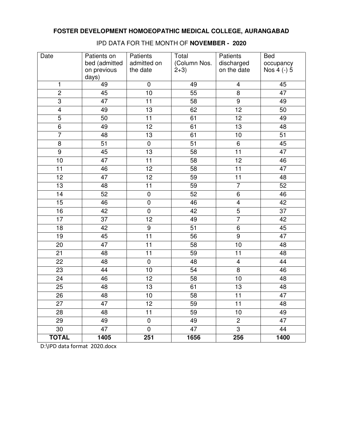| Date            | Patients on<br>bed (admitted | Patients<br>admitted on | Total<br>(Column Nos. | Patients<br>discharged  | <b>Bed</b><br>occupancy |
|-----------------|------------------------------|-------------------------|-----------------------|-------------------------|-------------------------|
|                 | on previous<br>days)         | the date                | $2+3)$                | on the date             | Nos 4 (-) 5             |
| 1               | 49                           | $\pmb{0}$               | 49                    | 4                       | 45                      |
| $\overline{2}$  | 45                           | $\overline{10}$         | $\overline{55}$       | $\overline{8}$          | $\overline{47}$         |
| $\overline{3}$  | 47                           | 11                      | $\overline{58}$       | $\overline{9}$          | 49                      |
| $\overline{4}$  | 49                           | $\overline{13}$         | 62                    | $\overline{12}$         | 50                      |
| $\overline{5}$  | 50                           | 11                      | 61                    | 12                      | 49                      |
| $\overline{6}$  | 49                           | 12                      | 61                    | $\overline{13}$         | 48                      |
| $\overline{7}$  | 48                           | 13                      | 61                    | 10                      | 51                      |
| $\,8\,$         | 51                           | $\pmb{0}$               | 51                    | 6                       | 45                      |
| $\overline{9}$  | 45                           | 13                      | 58                    | $\overline{11}$         | 47                      |
| 10              | $\overline{47}$              | $\overline{11}$         | 58                    | $\overline{12}$         | 46                      |
| 11              | 46                           | 12                      | 58                    | $\overline{11}$         | 47                      |
| 12              | 47                           | $\overline{12}$         | 59                    | 11                      | 48                      |
| 13              | 48                           | 11                      | 59                    | $\overline{7}$          | 52                      |
| $\overline{14}$ | 52                           | $\overline{0}$          | 52                    | $\overline{6}$          | 46                      |
| 15              | 46                           | $\pmb{0}$               | 46                    | $\overline{\mathbf{4}}$ | 42                      |
| 16              | 42                           | $\boldsymbol{0}$        | 42                    | $\overline{5}$          | 37                      |
| 17              | 37                           | 12                      | 49                    | $\overline{7}$          | 42                      |
| $\overline{18}$ | 42                           | $\overline{9}$          | $\overline{51}$       | $\overline{6}$          | $\overline{45}$         |
| $\overline{19}$ | $\overline{45}$              | $\overline{11}$         | $\overline{56}$       | $\overline{9}$          | $\overline{47}$         |
| 20              | 47                           | 11                      | 58                    | 10                      | 48                      |
| 21              | 48                           | 11                      | 59                    | 11                      | 48                      |
| 22              | 48                           | $\overline{0}$          | 48                    | $\overline{4}$          | 44                      |
| 23              | 44                           | 10                      | 54                    | 8                       | 46                      |
| 24              | 46                           | 12                      | 58                    | 10                      | 48                      |
| 25              | 48                           | 13                      | 61                    | 13                      | 48                      |
| $\overline{26}$ | 48                           | 10                      | $\overline{58}$       | $\overline{11}$         | 47                      |
| 27              | 47                           | 12                      | 59                    | 11                      | 48                      |
| 28              | 48                           | 11                      | 59                    | 10                      | 49                      |
| 29              | 49                           | $\pmb{0}$               | 49                    | $\overline{c}$          | 47                      |
| 30              | 47                           | $\pmb{0}$               | 47                    | 3                       | 44                      |
| <b>TOTAL</b>    | 1405                         | 251                     | 1656                  | 256                     | 1400                    |

IPD DATA FOR THE MONTH OF **NOVEMBER - 2020**